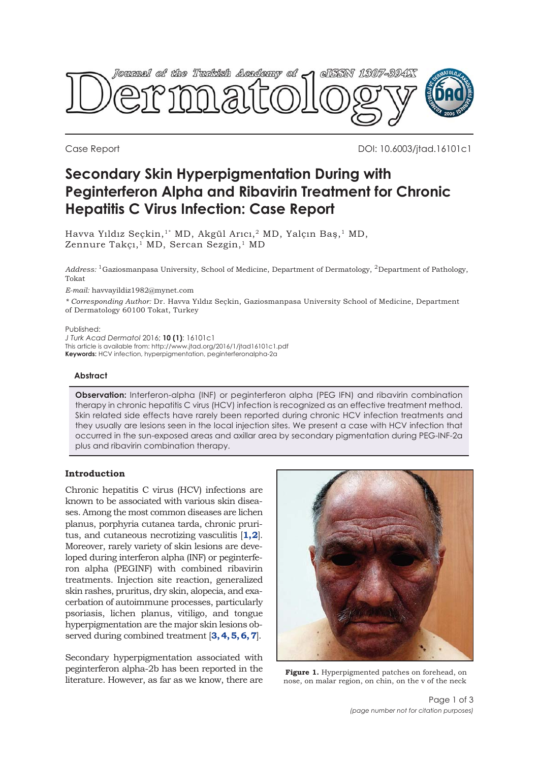<span id="page-0-0"></span>

Case Report DOI: 10.6003/jtad.16101c1

# **Secondary Skin Hyperpigmentation During with Peginterferon Alpha and Ribavirin Treatment for Chronic Hepatitis C Virus Infection: Case Report**

Havva Yıldız Seçkin,<sup>1\*</sup> MD, Akgül Arıcı,<sup>2</sup> MD, Yalçın Bas,<sup>1</sup> MD, Zennure Takçı,<sup>1</sup> MD, Sercan Sezgin,<sup>1</sup> MD

*Address:* 1Gaziosmanpasa University, School of Medicine, Department of Dermatology, 2Department of Pathology, Tokat

*E-mail:* havvayildiz1982@mynet.com

*\* Corresponding Author:* Dr. Havva Yıldız Seçkin, Gaziosmanpasa University School of Medicine, Department of Dermatology 60100 Tokat, Turkey

#### Published:

*J Turk Acad Dermatol* 2016; **10 (1)**: 16101c1 This article is available from: http://www.jtad.org/2016/1/jtad16101c1.pdf **Keywords:** HCV infection, hyperpigmentation, peginterferonalpha-2a

#### **Abstract**

**Observation:** Interferon-alpha (INF) or peginterferon alpha (PEG IFN) and ribavirin combination therapy in chronic hepatitis C virus (HCV) infection is recognized as an effective treatment method. Skin related side effects have rarely been reported during chronic HCV infection treatments and they usually are lesions seen in the local injection sites. We present a case with HCV infection that occurred in the sun-exposed areas and axillar area by secondary pigmentation during PEG-INF-2a plus and ribavirin combination therapy.

## **Introduction**

Chronic hepatitis C virus (HCV) infections are known to be associated with various skin diseases. Among the most common diseases are lichen planus, porphyria cutanea tarda, chronic pruritus, and cutaneous necrotizing vasculitis [**[1, 2](#page-2-0)**]. Moreover, rarely variety of skin lesions are developed during interferon alpha (INF) or peginterferon alpha (PEGINF) with combined ribavirin treatments. Injection site reaction, generalized skin rashes, pruritus, dry skin, alopecia, and exacerbation of autoimmune processes, particularly psoriasis, lichen planus, vitiligo, and tongue hyperpigmentation are the major skin lesions observed during combined treatment [**[3, 4, 5, 6, 7](#page-2-0)**].

Secondary hyperpigmentation associated with peginterferon alpha-2b has been reported in the literature. However, as far as we know, there are



**Figure 1.** Hyperpigmented patches on forehead, on nose, on malar region, on chin, on the v of the neck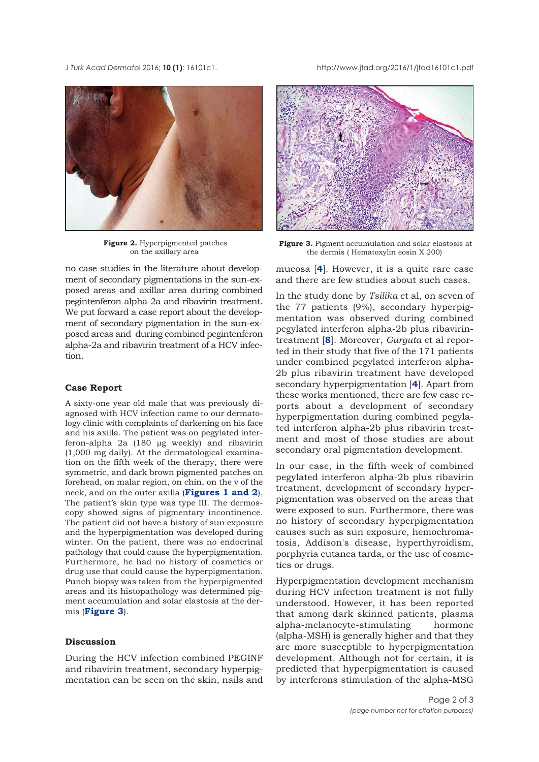*J Turk Acad Dermato*l 2016; **10 (1)**: 16101c1. http://www.jtad.org/2016/1/jtad16101c1.pdf



**Figure 2.** Hyperpigmented patches on the axillary area

no case studies in the literature about development of secondary pigmentations in the sun-exposed areas and axillar area during combined pegintenferon alpha-2a and ribavirin treatment. We put forward a case report about the development of secondary pigmentation in the sun-exposed areas and during combined pegintenferon alpha-2a and ribavirin treatment of a HCV infection.

#### **Case Report**

A sixty-one year old male that was previously diagnosed with HCV infection came to our dermatology clinic with complaints of darkening on his face and his axilla. The patient was on pegylated interferon-alpha 2a (180 µg weekly) and ribavirin (1,000 mg daily). At the dermatological examination on the fifth week of the therapy, there were symmetric, and dark brown pigmented patches on forehead, on malar region, on chin, on the v of the neck, and on the outer axilla (**[Figures 1](#page-0-0) and 2**). The patient's skin type was type III. The dermoscopy showed signs of pigmentary incontinence. The patient did not have a history of sun exposure and the hyperpigmentation was developed during winter. On the patient, there was no endocrinal pathology that could cause the hyperpigmentation. Furthermore, he had no history of cosmetics or drug use that could cause the hyperpigmentation. Punch biopsy was taken from the hyperpigmented areas and its histopathology was determined pigment accumulation and solar elastosis at the dermis (**Figure 3**).

#### **Discussion**

During the HCV infection combined PEGINF and ribavirin treatment, secondary hyperpigmentation can be seen on the skin, nails and



**Figure 3.** Pigment accumulation and solar elastosis at the dermis ( Hematoxylin eosin X 200)

mucosa [**[4](#page-2-0)**]. However, it is a quite rare case and there are few studies about such cases.

In the study done by *Tsilika* et al, on seven of the 77 patients (9%), secondary hyperpigmentation was observed during combined pegylated interferon alpha-2b plus ribavirintreatment [**[8](#page-2-0)**]. Moreover, *Gurguta* et al reported in their study that five of the 171 patients under combined pegylated interferon alpha-2b plus ribavirin treatment have developed secondary hyperpigmentation [**[4](#page-2-0)**]. Apart from these works mentioned, there are few case reports about a development of secondary hyperpigmentation during combined pegylated interferon alpha-2b plus ribavirin treatment and most of those studies are about secondary oral pigmentation development.

In our case, in the fifth week of combined pegylated interferon alpha-2b plus ribavirin treatment, development of secondary hyperpigmentation was observed on the areas that were exposed to sun. Furthermore, there was no history of secondary hyperpigmentation causes such as sun exposure, hemochromatosis, Addison's disease, hyperthyroidism, porphyria cutanea tarda, or the use of cosmetics or drugs.

Hyperpigmentation development mechanism during HCV infection treatment is not fully understood. However, it has been reported that among dark skinned patients, plasma alpha-melanocyte-stimulating hormone (alpha-MSH) is generally higher and that they are more susceptible to hyperpigmentation development. Although not for certain, it is predicted that hyperpigmentation is caused by interferons stimulation of the alpha-MSG